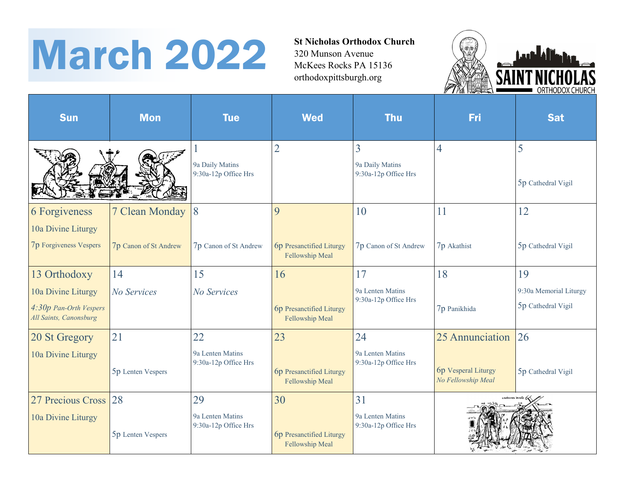## St Nicholas Orthodox Church<br>320 Munson Avenue<br>McKees Rocks PA 15136

320 Munson Avenue McKees Rocks PA 15136 orthodoxpittsburgh.org



| <b>Sun</b>                                                             | <b>Mon</b>            | <b>Tue</b>                               | <b>Wed</b>                                         | <b>Thu</b>                                   | Fri                                       | <b>Sat</b>                                   |
|------------------------------------------------------------------------|-----------------------|------------------------------------------|----------------------------------------------------|----------------------------------------------|-------------------------------------------|----------------------------------------------|
|                                                                        |                       | 9a Daily Matins<br>9:30a-12p Office Hrs  | $\overline{2}$                                     | 3<br>9a Daily Matins<br>9:30a-12p Office Hrs | 4                                         | 5<br>5p Cathedral Vigil                      |
| 6 Forgiveness<br>10a Divine Liturgy                                    | 7 Clean Monday        | 8                                        | 9                                                  | 10                                           | 11                                        | 12                                           |
| <b>7p Forgiveness Vespers</b>                                          | 7p Canon of St Andrew | 7p Canon of St Andrew                    | <b>6p</b> Presanctified Liturgy<br>Fellowship Meal | 7p Canon of St Andrew                        | 7p Akathist                               | 5p Cathedral Vigil                           |
| 13 Orthodoxy                                                           | 14                    | 15                                       | 16                                                 | 17                                           | 18                                        | 19                                           |
| 10a Divine Liturgy<br>4:30p Pan-Orth Vespers<br>All Saints, Canonsburg | No Services           | No Services                              | 6p Presanctified Liturgy<br>Fellowship Meal        | 9a Lenten Matins<br>9:30a-12p Office Hrs     | 7p Panikhida                              | 9:30a Memorial Liturgy<br>5p Cathedral Vigil |
| 20 St Gregory                                                          | 21                    | 22                                       | 23                                                 | 24                                           | 25 Annunciation 26                        |                                              |
| 10a Divine Liturgy                                                     | 5p Lenten Vespers     | 9a Lenten Matins<br>9:30a-12p Office Hrs | 6p Presanctified Liturgy<br>Fellowship Meal        | 9a Lenten Matins<br>9:30a-12p Office Hrs     | 6p Vesperal Liturgy<br>No Fellowship Meal | 5p Cathedral Vigil                           |
| 27 Precious Cross                                                      | 28                    | 29                                       | 30                                                 | 31                                           |                                           |                                              |
| 10a Divine Liturgy                                                     | 5p Lenten Vespers     | 9a Lenten Matins<br>9:30a-12p Office Hrs | 6p Presanctified Liturgy<br>Fellowship Meal        | 9a Lenten Matins<br>9:30a-12p Office Hrs     |                                           |                                              |